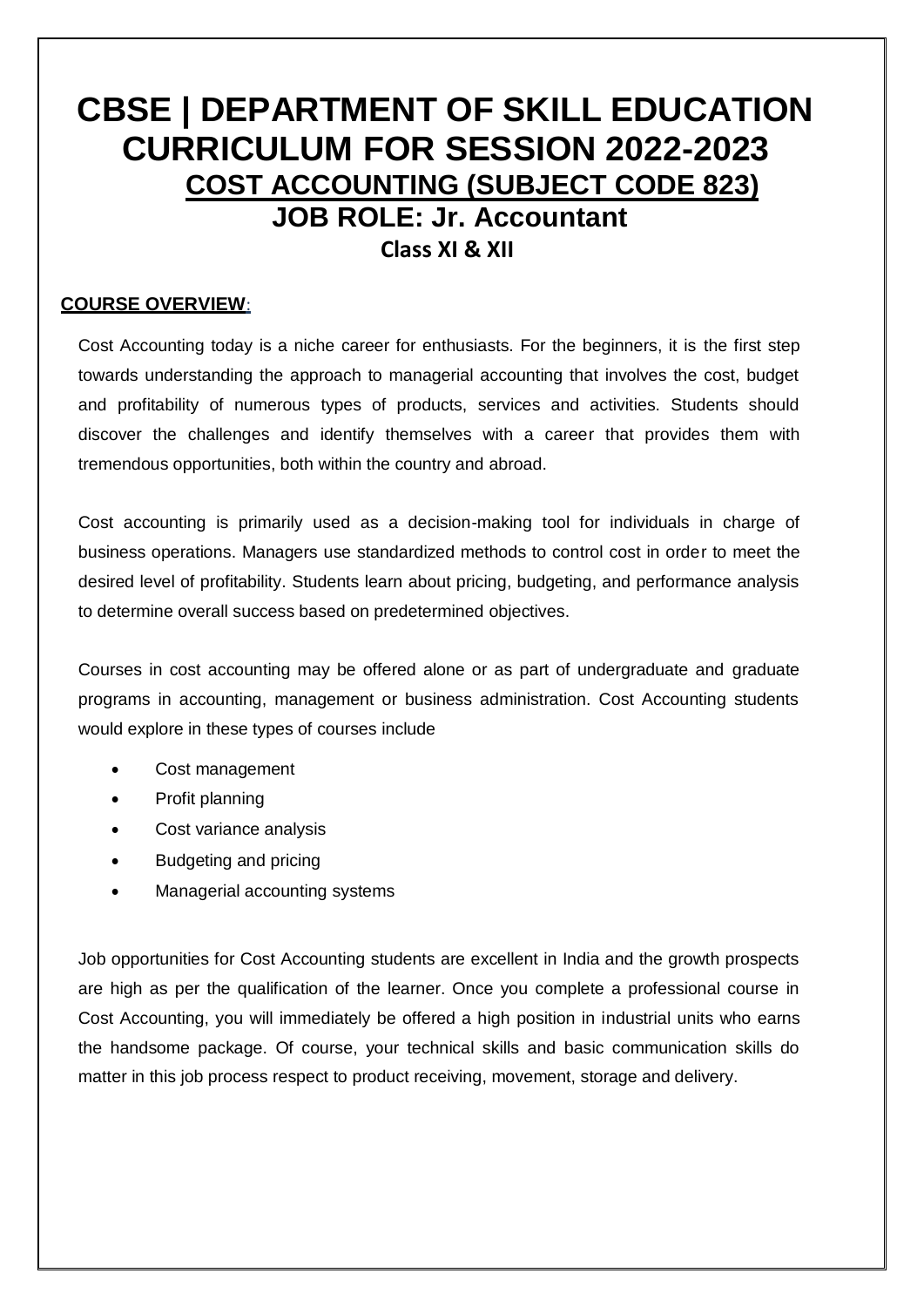# **CBSE | DEPARTMENT OF SKILL EDUCATION CURRICULUM FOR SESSION 2022-2023 COST ACCOUNTING (SUBJECT CODE 823) JOB ROLE: Jr. Accountant**

## **Class XI & XII**

### **COURSE OVERVIEW**:

Cost Accounting today is a niche career for enthusiasts. For the beginners, it is the first step towards understanding the approach to managerial accounting that involves the cost, budget and profitability of numerous types of products, services and activities. Students should discover the challenges and identify themselves with a career that provides them with tremendous opportunities, both within the country and abroad.

Cost accounting is primarily used as a decision-making tool for individuals in charge of business operations. Managers use standardized methods to control cost in order to meet the desired level of profitability. Students learn about pricing, budgeting, and performance analysis to determine overall success based on predetermined objectives.

Courses in cost accounting may be offered alone or as part of undergraduate and graduate programs in accounting, management or business administration. Cost Accounting students would explore in these types of courses include

- Cost management
- Profit planning
- Cost variance analysis
- Budgeting and pricing
- Managerial accounting systems

Job opportunities for Cost Accounting students are excellent in India and the growth prospects are high as per the qualification of the learner. Once you complete a professional course in Cost Accounting, you will immediately be offered a high position in industrial units who earns the handsome package. Of course, your technical skills and basic communication skills do matter in this job process respect to product receiving, movement, storage and delivery.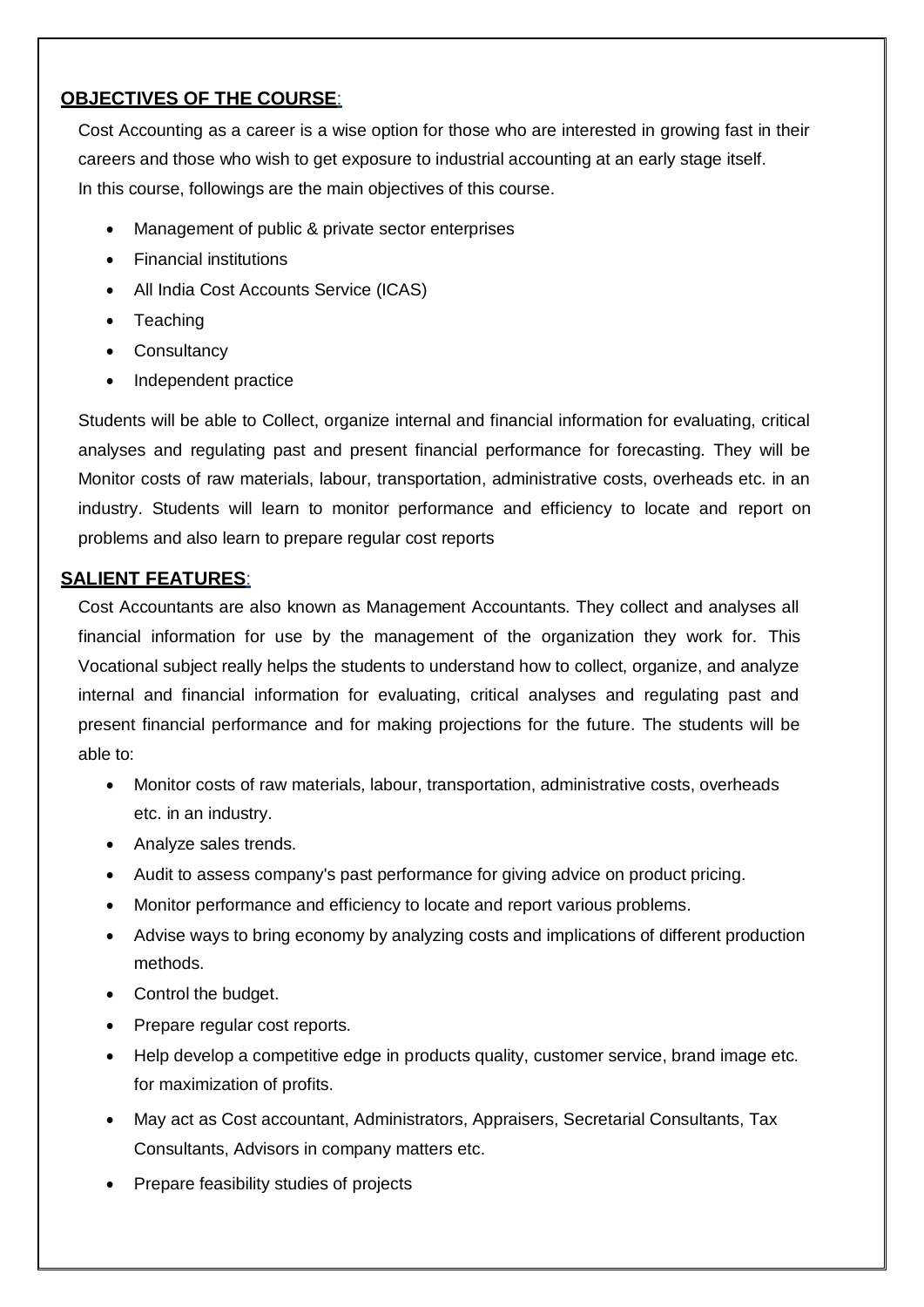## **OBJECTIVES OF THE COURSE**:

Cost Accounting as a career is a wise option for those who are interested in growing fast in their careers and those who wish to get exposure to industrial accounting at an early stage itself. In this course, followings are the main objectives of this course.

- Management of public & private sector enterprises
- Financial institutions
- All India Cost Accounts Service (ICAS)
- Teaching
- Consultancy
- Independent practice

Students will be able to Collect, organize internal and financial information for evaluating, critical analyses and regulating past and present financial performance for forecasting. They will be Monitor costs of raw materials, labour, transportation, administrative costs, overheads etc. in an industry. Students will learn to monitor performance and efficiency to locate and report on problems and also learn to prepare regular cost reports

#### **SALIENT FEATURES**:

Cost Accountants are also known as Management Accountants. They collect and analyses all financial information for use by the management of the organization they work for. This Vocational subject really helps the students to understand how to collect, organize, and analyze internal and financial information for evaluating, critical analyses and regulating past and present financial performance and for making projections for the future. The students will be able to:

- Monitor costs of raw materials, labour, transportation, administrative costs, overheads etc. in an industry.
- Analyze sales trends.
- Audit to assess company's past performance for giving advice on product pricing.
- Monitor performance and efficiency to locate and report various problems.
- Advise ways to bring economy by analyzing costs and implications of different production methods.
- Control the budget.
- Prepare regular cost reports.
- Help develop a competitive edge in products quality, customer service, brand image etc. for maximization of profits.
- May act as Cost accountant, Administrators, Appraisers, Secretarial Consultants, Tax Consultants, Advisors in company matters etc.
- Prepare feasibility studies of projects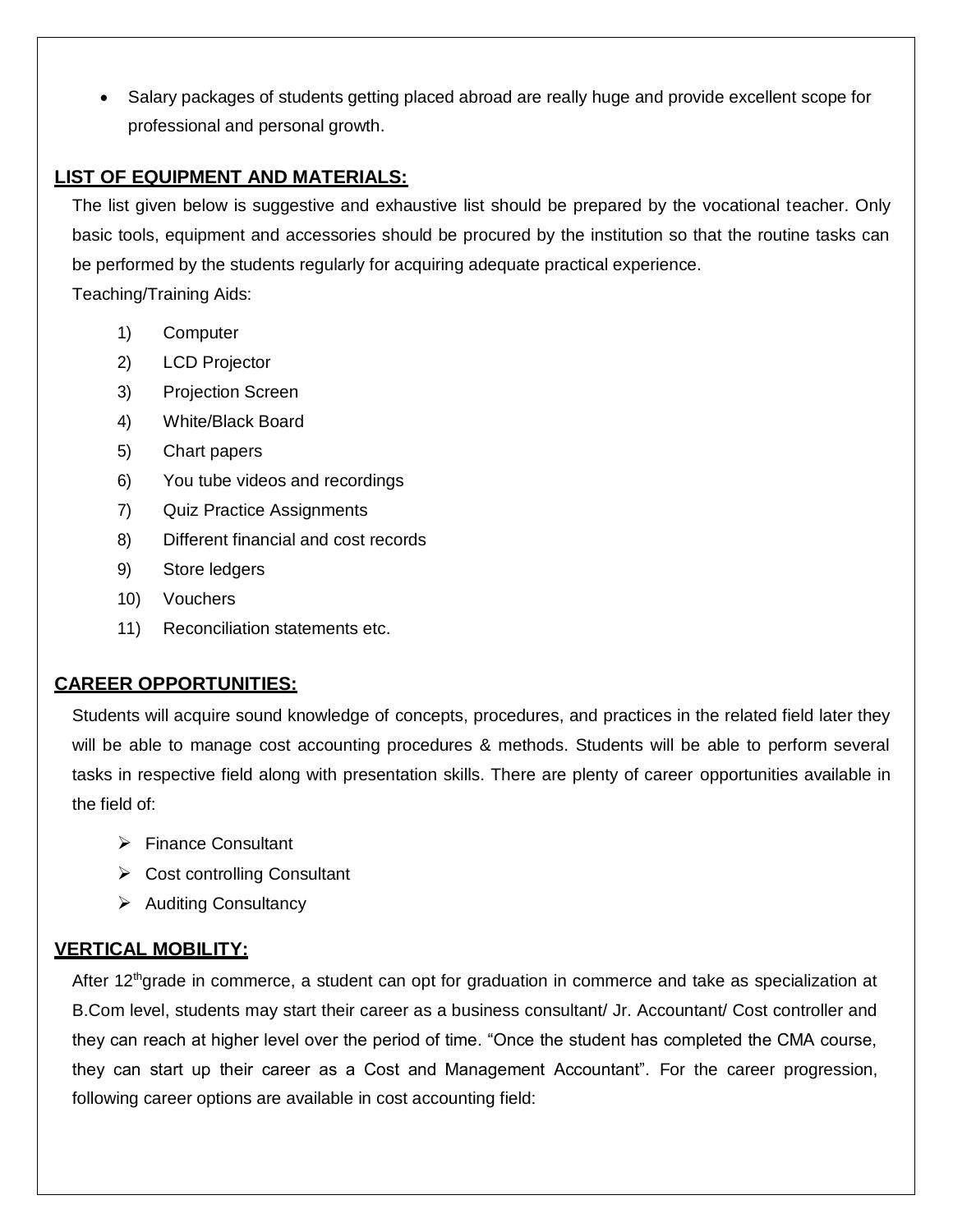Salary packages of students getting placed abroad are really huge and provide excellent scope for professional and personal growth.

#### **LIST OF EQUIPMENT AND MATERIALS:**

The list given below is suggestive and exhaustive list should be prepared by the vocational teacher. Only basic tools, equipment and accessories should be procured by the institution so that the routine tasks can be performed by the students regularly for acquiring adequate practical experience.

Teaching/Training Aids:

- 1) Computer
- 2) LCD Projector
- 3) Projection Screen
- 4) White/Black Board
- 5) Chart papers
- 6) You tube videos and recordings
- 7) Quiz Practice Assignments
- 8) Different financial and cost records
- 9) Store ledgers
- 10) Vouchers
- 11) Reconciliation statements etc.

#### **CAREER OPPORTUNITIES:**

Students will acquire sound knowledge of concepts, procedures, and practices in the related field later they will be able to manage cost accounting procedures & methods. Students will be able to perform several tasks in respective field along with presentation skills. There are plenty of career opportunities available in the field of:

- Finance Consultant
- $\triangleright$  Cost controlling Consultant
- $\triangleright$  Auditing Consultancy

## **VERTICAL MOBILITY:**

After 12<sup>th</sup>grade in commerce, a student can opt for graduation in commerce and take as specialization at B.Com level, students may start their career as a business consultant/ Jr. Accountant/ Cost controller and they can reach at higher level over the period of time. "Once the student has completed the CMA course, they can start up their career as a Cost and Management Accountant". For the career progression, following career options are available in cost accounting field: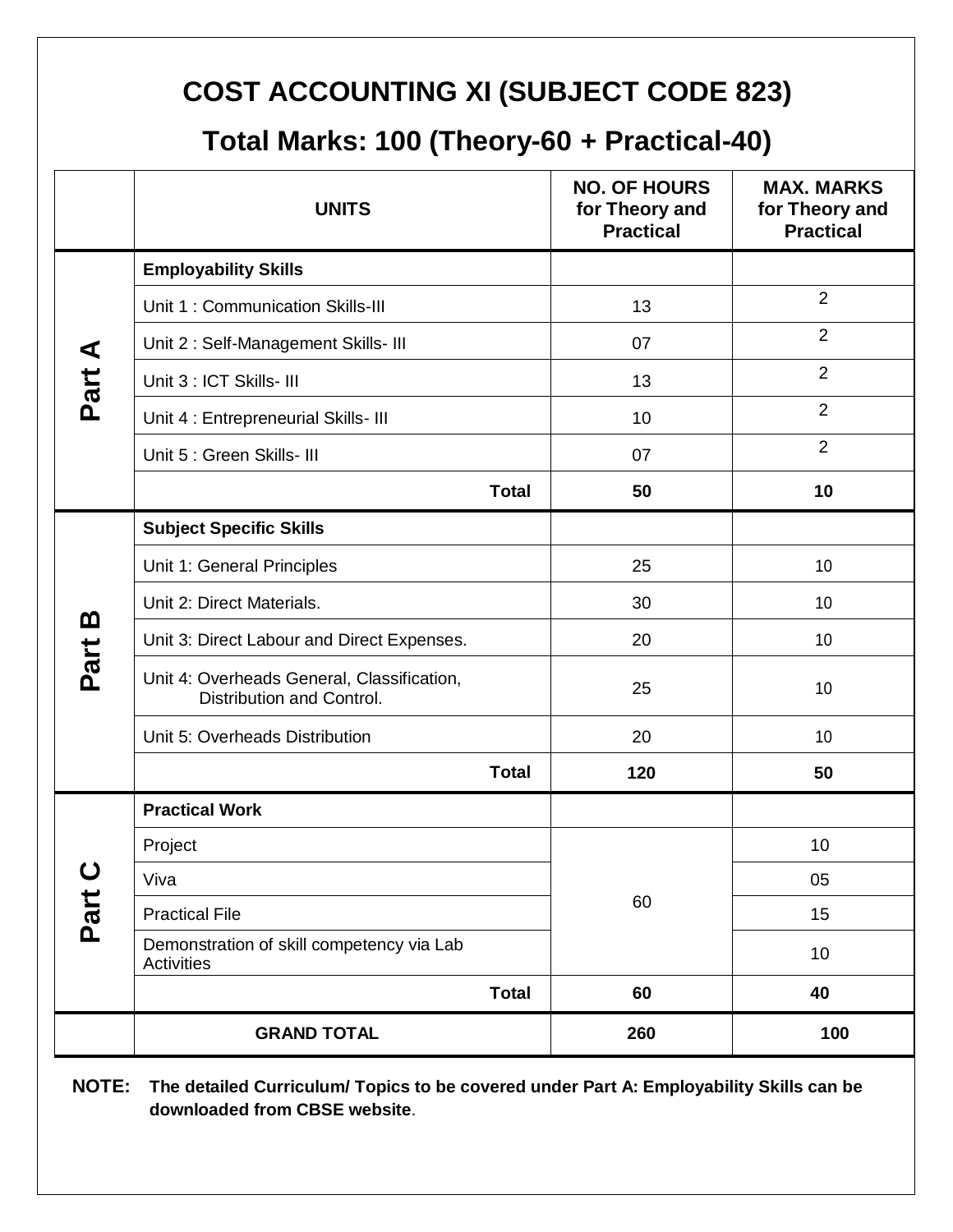# **COST ACCOUNTING XI (SUBJECT CODE 823)**

## **Total Marks: 100 (Theory-60 + Practical-40)**

|             | <b>UNITS</b>                                                            |              | <b>NO. OF HOURS</b><br>for Theory and<br><b>Practical</b> | <b>MAX. MARKS</b><br>for Theory and<br><b>Practical</b> |
|-------------|-------------------------------------------------------------------------|--------------|-----------------------------------------------------------|---------------------------------------------------------|
| ⋖           | <b>Employability Skills</b>                                             |              |                                                           |                                                         |
|             | Unit 1: Communication Skills-III                                        |              | 13                                                        | $\overline{2}$                                          |
|             | Unit 2: Self-Management Skills- III                                     |              | 07                                                        | $\overline{2}$                                          |
| Part        | Unit 3 : ICT Skills- III                                                |              | 13                                                        | $\overline{2}$                                          |
|             | Unit 4 : Entrepreneurial Skills- III                                    |              | 10                                                        | $\overline{2}$                                          |
|             | Unit 5 : Green Skills- III                                              |              | 07                                                        | $\overline{2}$                                          |
|             |                                                                         | <b>Total</b> | 50                                                        | 10                                                      |
|             | <b>Subject Specific Skills</b>                                          |              |                                                           |                                                         |
|             | Unit 1: General Principles                                              |              | 25                                                        | 10                                                      |
|             | Unit 2: Direct Materials.                                               |              | 30                                                        | 10                                                      |
| <u>ന</u>    | Unit 3: Direct Labour and Direct Expenses.                              |              | 20                                                        | 10                                                      |
| Part        | Unit 4: Overheads General, Classification,<br>Distribution and Control. |              | 25                                                        | 10                                                      |
|             | Unit 5: Overheads Distribution                                          |              | 20                                                        | 10                                                      |
|             |                                                                         | <b>Total</b> | 120                                                       | 50                                                      |
|             | <b>Practical Work</b>                                                   |              |                                                           |                                                         |
|             | Project                                                                 |              |                                                           | 10                                                      |
| $\mathbf C$ | Viva                                                                    |              |                                                           | 05                                                      |
| Part        | <b>Practical File</b>                                                   |              | 60                                                        | 15                                                      |
|             | Demonstration of skill competency via Lab<br><b>Activities</b>          |              |                                                           | 10                                                      |
|             |                                                                         | <b>Total</b> | 60                                                        | 40                                                      |
|             | <b>GRAND TOTAL</b>                                                      |              | 260                                                       | 100                                                     |

**NOTE: The detailed Curriculum/ Topics to be covered under Part A: Employability Skills can be downloaded from CBSE website**.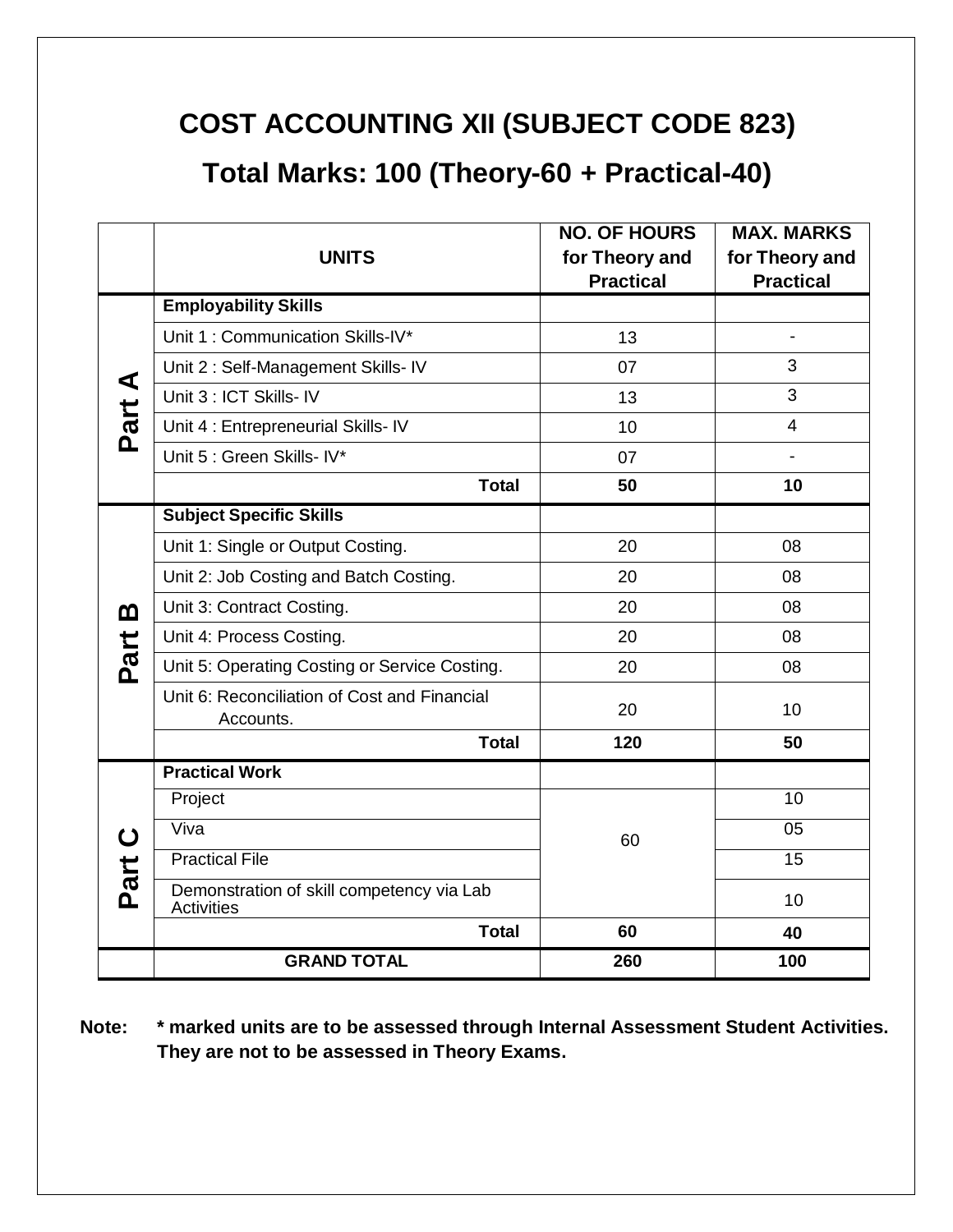## **COST ACCOUNTING XII (SUBJECT CODE 823)**

## **Total Marks: 100 (Theory-60 + Practical-40)**

|                     |                                                                | <b>NO. OF HOURS</b> | <b>MAX. MARKS</b>        |
|---------------------|----------------------------------------------------------------|---------------------|--------------------------|
|                     | <b>UNITS</b>                                                   | for Theory and      | for Theory and           |
|                     |                                                                | <b>Practical</b>    | <b>Practical</b>         |
|                     | <b>Employability Skills</b>                                    |                     |                          |
|                     | Unit 1: Communication Skills-IV*                               | 13                  | $\overline{\phantom{a}}$ |
| ⋖                   | Unit 2: Self-Management Skills- IV                             | 07                  | 3                        |
|                     | Unit 3 : ICT Skills- IV                                        | 13                  | 3                        |
| Part                | Unit 4 : Entrepreneurial Skills- IV                            | 10                  | $\overline{4}$           |
|                     | Unit 5 : Green Skills- IV*                                     | 07                  | $\overline{\phantom{a}}$ |
|                     | <b>Total</b>                                                   | 50                  | 10                       |
|                     | <b>Subject Specific Skills</b>                                 |                     |                          |
|                     | Unit 1: Single or Output Costing.                              | 20                  | 08                       |
|                     | Unit 2: Job Costing and Batch Costing.                         | 20                  | 08                       |
| m                   | Unit 3: Contract Costing.                                      | 20                  | 08                       |
|                     | Unit 4: Process Costing.                                       | 20                  | 08                       |
| Part                | Unit 5: Operating Costing or Service Costing.                  | 20                  | 08                       |
|                     | Unit 6: Reconciliation of Cost and Financial<br>Accounts.      | 20                  | 10                       |
|                     | <b>Total</b>                                                   | 120                 | 50                       |
|                     | <b>Practical Work</b>                                          |                     |                          |
| $\mathbf C$<br>Part | Project                                                        |                     | 10                       |
|                     | Viva                                                           | 60                  | $\overline{05}$          |
|                     | <b>Practical File</b>                                          |                     | $\overline{15}$          |
|                     | Demonstration of skill competency via Lab<br><b>Activities</b> |                     | 10                       |
|                     | <b>Total</b>                                                   | 60                  | 40                       |
|                     | <b>GRAND TOTAL</b>                                             | 260                 | 100                      |

**Note: \* marked units are to be assessed through Internal Assessment Student Activities. They are not to be assessed in Theory Exams.**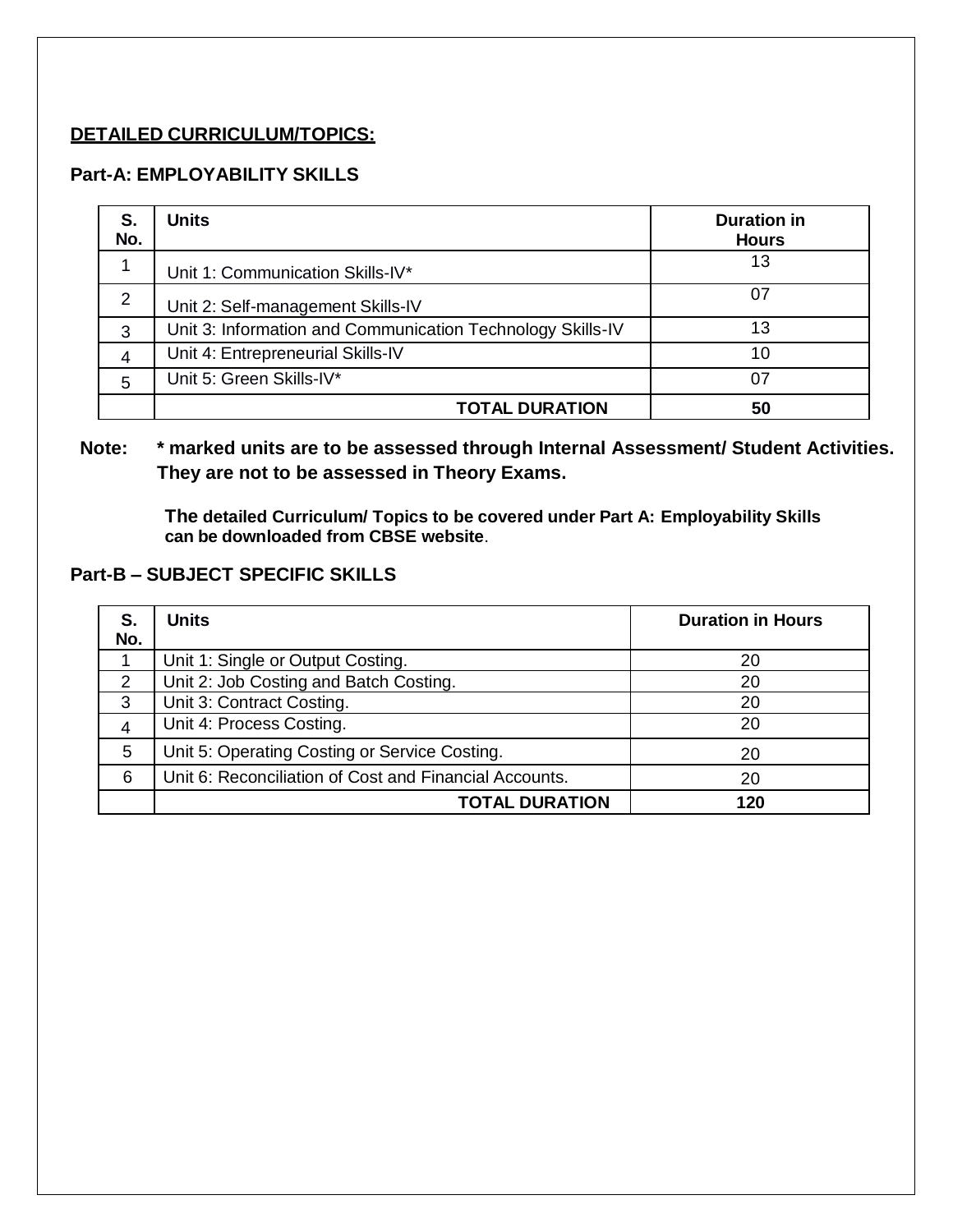## **DETAILED CURRICULUM/TOPICS:**

## **Part-A: EMPLOYABILITY SKILLS**

| S.<br>No.      | <b>Units</b>                                               | <b>Duration in</b><br><b>Hours</b> |
|----------------|------------------------------------------------------------|------------------------------------|
|                | Unit 1: Communication Skills-IV*                           | 13                                 |
| 2              | Unit 2: Self-management Skills-IV                          | 07                                 |
| 3              | Unit 3: Information and Communication Technology Skills-IV | 13                                 |
| $\overline{4}$ | Unit 4: Entrepreneurial Skills-IV                          | 10                                 |
| 5              | Unit 5: Green Skills-IV*                                   | 07                                 |
|                | <b>TOTAL DURATION</b>                                      | 50                                 |

## **Note: \* marked units are to be assessed through Internal Assessment/ Student Activities. They are not to be assessed in Theory Exams.**

**The detailed Curriculum/ Topics to be covered under Part A: Employability Skills can be downloaded from CBSE website**.

#### **Part-B – SUBJECT SPECIFIC SKILLS**

| S.<br>No.     | <b>Units</b>                                                 | <b>Duration in Hours</b> |
|---------------|--------------------------------------------------------------|--------------------------|
|               | Unit 1: Single or Output Costing.                            | 20                       |
| $\mathcal{P}$ | Unit 2: Job Costing and Batch Costing.                       | 20                       |
| 3             | Unit 3: Contract Costing.                                    | 20                       |
| 4             | Unit 4: Process Costing.                                     | 20                       |
| 5             | Unit 5: Operating Costing or Service Costing.                | 20                       |
| 6             | Unit 6: Reconciliation of Cost and Financial Accounts.<br>20 |                          |
|               | <b>TOTAL DURATION</b>                                        | 120                      |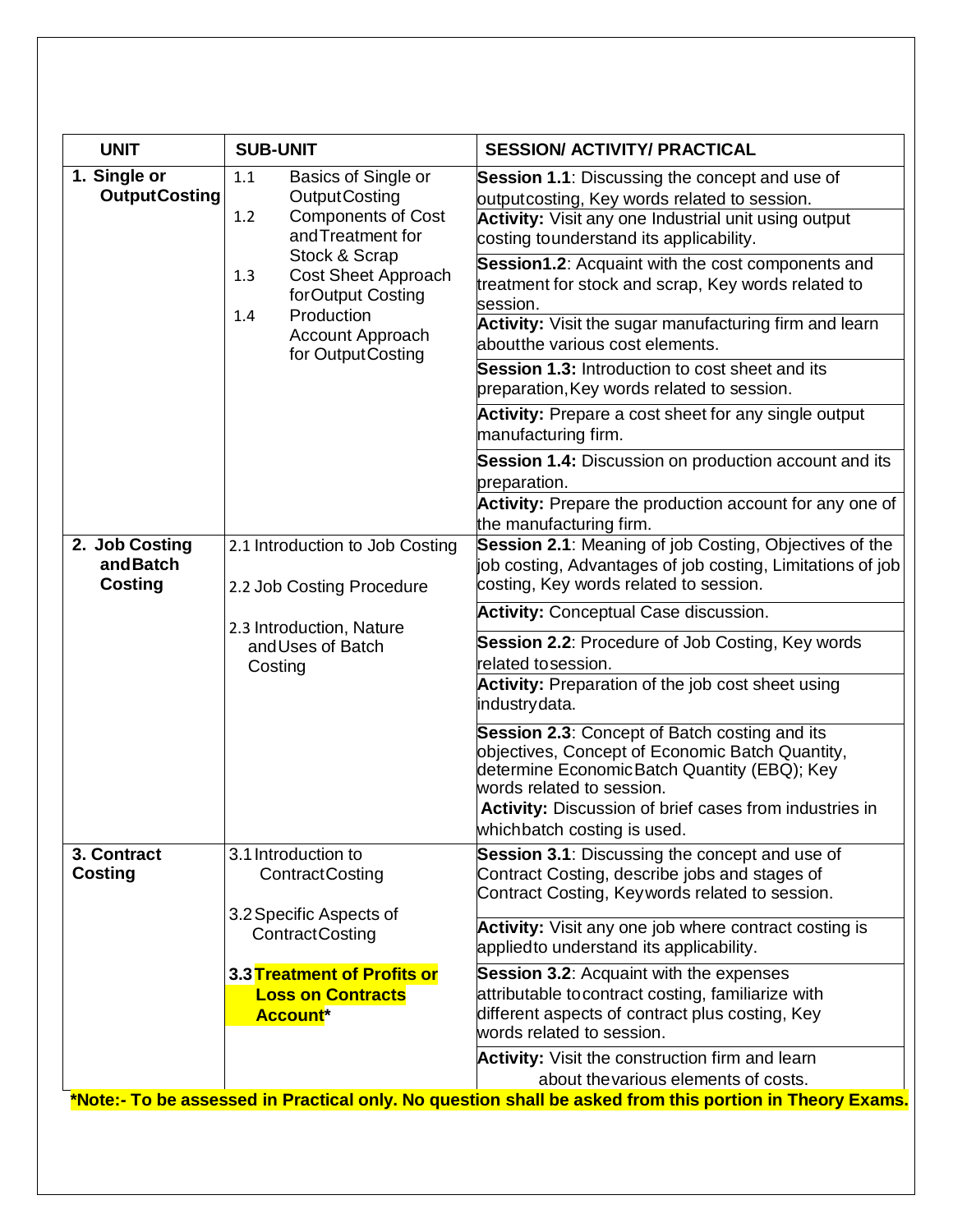| <b>UNIT</b>                                  | <b>SUB-UNIT</b>                                                                                                                                                                                                                                       | <b>SESSION/ ACTIVITY/ PRACTICAL</b>                                                                                                                                                                                                                                                                                                                                                                                                                                                                                                                                                                                                                                                                                                                                                                             |
|----------------------------------------------|-------------------------------------------------------------------------------------------------------------------------------------------------------------------------------------------------------------------------------------------------------|-----------------------------------------------------------------------------------------------------------------------------------------------------------------------------------------------------------------------------------------------------------------------------------------------------------------------------------------------------------------------------------------------------------------------------------------------------------------------------------------------------------------------------------------------------------------------------------------------------------------------------------------------------------------------------------------------------------------------------------------------------------------------------------------------------------------|
| 1. Single or<br><b>OutputCosting</b>         | Basics of Single or<br>1.1<br><b>OutputCosting</b><br><b>Components of Cost</b><br>1.2<br>and Treatment for<br>Stock & Scrap<br><b>Cost Sheet Approach</b><br>1.3<br>forOutput Costing<br>Production<br>1.4<br>Account Approach<br>for Output Costing | <b>Session 1.1:</b> Discussing the concept and use of<br>outputcosting, Key words related to session.<br><b>Activity:</b> Visit any one Industrial unit using output<br>costing tounderstand its applicability.<br><b>Session1.2:</b> Acquaint with the cost components and<br>treatment for stock and scrap, Key words related to<br>session.<br><b>Activity:</b> Visit the sugar manufacturing firm and learn<br>aboutthe various cost elements.<br>Session 1.3: Introduction to cost sheet and its<br>preparation, Key words related to session.<br><b>Activity:</b> Prepare a cost sheet for any single output<br>manufacturing firm.<br><b>Session 1.4:</b> Discussion on production account and its<br>preparation.<br>Activity: Prepare the production account for any one of<br>the manufacturing firm. |
| 2. Job Costing<br>andBatch<br><b>Costing</b> | 2.1 Introduction to Job Costing<br>2.2 Job Costing Procedure<br>2.3 Introduction, Nature<br>and Uses of Batch<br>Costing                                                                                                                              | Session 2.1: Meaning of job Costing, Objectives of the<br>job costing, Advantages of job costing, Limitations of job<br>costing, Key words related to session.<br><b>Activity: Conceptual Case discussion.</b><br><b>Session 2.2: Procedure of Job Costing, Key words</b><br>related tosession.<br><b>Activity:</b> Preparation of the job cost sheet using<br>industrydata.<br>Session 2.3: Concept of Batch costing and its<br>objectives, Concept of Economic Batch Quantity,<br>determine EconomicBatch Quantity (EBQ); Key<br>words related to session.<br>Activity: Discussion of brief cases from industries in<br>whichbatch costing is used.                                                                                                                                                           |
| 3. Contract<br><b>Costing</b>                | 3.1 Introduction to<br><b>ContractCosting</b><br>3.2 Specific Aspects of<br><b>ContractCosting</b><br>3.3 Treatment of Profits or<br><b>Loss on Contracts</b><br>Account <sup>*</sup>                                                                 | Session 3.1: Discussing the concept and use of<br>Contract Costing, describe jobs and stages of<br>Contract Costing, Keywords related to session.<br><b>Activity:</b> Visit any one job where contract costing is<br>appliedto understand its applicability.<br><b>Session 3.2: Acquaint with the expenses</b><br>attributable to contract costing, familiarize with<br>different aspects of contract plus costing, Key<br>words related to session.<br><b>Activity:</b> Visit the construction firm and learn<br>about the various elements of costs.                                                                                                                                                                                                                                                          |
|                                              |                                                                                                                                                                                                                                                       | *Note:- To be assessed in Practical only. No question shall be asked from this portion in Theory Exams.                                                                                                                                                                                                                                                                                                                                                                                                                                                                                                                                                                                                                                                                                                         |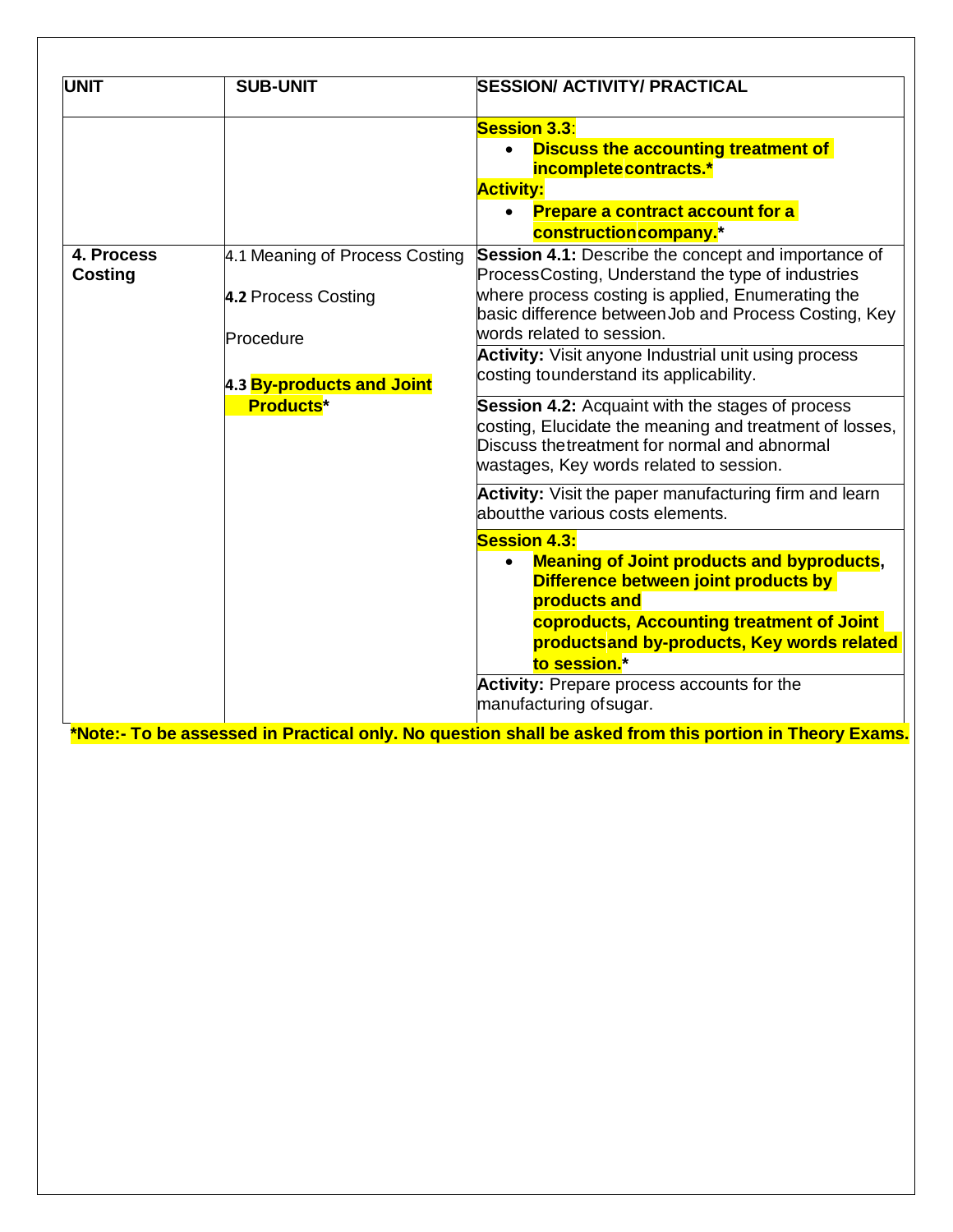| <b>UNIT</b>                  | <b>SUB-UNIT</b>                                                    | <b>SESSION/ ACTIVITY/ PRACTICAL</b>                                                                                                                                                                                                                                                                                                           |
|------------------------------|--------------------------------------------------------------------|-----------------------------------------------------------------------------------------------------------------------------------------------------------------------------------------------------------------------------------------------------------------------------------------------------------------------------------------------|
|                              |                                                                    | <b>Session 3.3:</b><br><b>Discuss the accounting treatment of</b><br>incomplete contracts.*<br><b>Activity:</b><br><b>Prepare a contract account for a</b><br>$\bullet$<br>construction company. <sup>*</sup>                                                                                                                                 |
| 4. Process<br><b>Costing</b> | 4.1 Meaning of Process Costing<br>4.2 Process Costing<br>Procedure | Session 4.1: Describe the concept and importance of<br>ProcessCosting, Understand the type of industries<br>where process costing is applied, Enumerating the<br>basic difference between Job and Process Costing, Key<br>words related to session.                                                                                           |
|                              | 4.3 By-products and Joint                                          | <b>Activity:</b> Visit anyone Industrial unit using process<br>costing tounderstand its applicability.                                                                                                                                                                                                                                        |
|                              | <b>Products*</b>                                                   | <b>Session 4.2:</b> Acquaint with the stages of process<br>costing, Elucidate the meaning and treatment of losses,<br>Discuss the treatment for normal and abnormal<br>wastages, Key words related to session.                                                                                                                                |
|                              |                                                                    | <b>Activity:</b> Visit the paper manufacturing firm and learn<br>aboutthe various costs elements.                                                                                                                                                                                                                                             |
|                              |                                                                    | <b>Session 4.3:</b><br><b>Meaning of Joint products and byproducts,</b><br>$\bullet$<br>Difference between joint products by<br>products and<br>coproducts, Accounting treatment of Joint<br>products and by-products, Key words related<br>to session. <sup>*</sup><br>Activity: Prepare process accounts for the<br>manufacturing of sugar. |

**\*Note:- To be assessed in Practical only. No question shall be asked from this portion in Theory Exams.**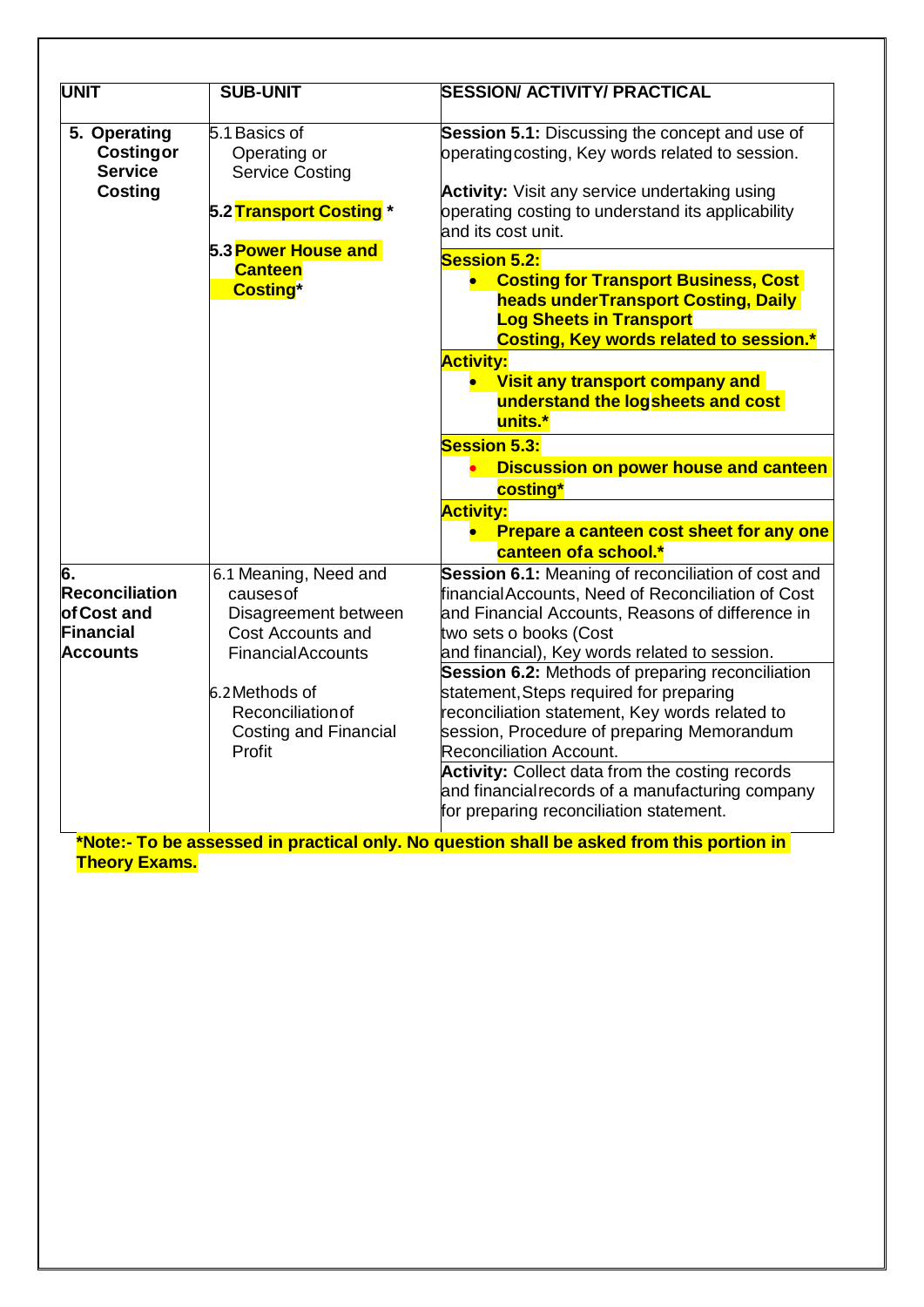| UNIT                                                                              | <b>SUB-UNIT</b>                                                                                                                                                                              | <b>SESSION/ ACTIVITY/ PRACTICAL</b>                                                                                                                                                                                                                                                                                                                                                                                                                                                                                                                                                                                                                                                                                            |
|-----------------------------------------------------------------------------------|----------------------------------------------------------------------------------------------------------------------------------------------------------------------------------------------|--------------------------------------------------------------------------------------------------------------------------------------------------------------------------------------------------------------------------------------------------------------------------------------------------------------------------------------------------------------------------------------------------------------------------------------------------------------------------------------------------------------------------------------------------------------------------------------------------------------------------------------------------------------------------------------------------------------------------------|
| 5. Operating<br><b>Costingor</b><br><b>Service</b><br><b>Costing</b>              | 5.1 Basics of<br>Operating or<br><b>Service Costing</b><br>5.2 Transport Costing *                                                                                                           | Session 5.1: Discussing the concept and use of<br>operating costing, Key words related to session.<br><b>Activity:</b> Visit any service undertaking using<br>operating costing to understand its applicability<br>and its cost unit.                                                                                                                                                                                                                                                                                                                                                                                                                                                                                          |
|                                                                                   | 5.3 Power House and<br><b>Canteen</b><br><b>Costing*</b>                                                                                                                                     | <b>Session 5.2:</b><br>• Costing for Transport Business, Cost<br>heads under Transport Costing, Daily<br><b>Log Sheets in Transport</b><br><b>Costing, Key words related to session.*</b><br><b>Activity:</b><br>Visit any transport company and<br>understand the logsheets and cost<br>units.*                                                                                                                                                                                                                                                                                                                                                                                                                               |
|                                                                                   |                                                                                                                                                                                              | <b>Session 5.3:</b><br><b>Discussion on power house and canteen</b><br>costing*<br><b>Activity:</b><br>Prepare a canteen cost sheet for any one                                                                                                                                                                                                                                                                                                                                                                                                                                                                                                                                                                                |
|                                                                                   |                                                                                                                                                                                              | canteen of a school.*                                                                                                                                                                                                                                                                                                                                                                                                                                                                                                                                                                                                                                                                                                          |
| 6.<br><b>Reconciliation</b><br>of Cost and<br><b>Financial</b><br><b>Accounts</b> | 6.1 Meaning, Need and<br>causes of<br>Disagreement between<br>Cost Accounts and<br><b>FinancialAccounts</b><br>6.2 Methods of<br>Reconciliation of<br><b>Costing and Financial</b><br>Profit | Session 6.1: Meaning of reconciliation of cost and<br>financial Accounts, Need of Reconciliation of Cost<br>and Financial Accounts, Reasons of difference in<br>two sets o books (Cost<br>and financial), Key words related to session.<br>Session 6.2: Methods of preparing reconciliation<br>statement, Steps required for preparing<br>reconciliation statement, Key words related to<br>session, Procedure of preparing Memorandum<br><b>Reconciliation Account.</b><br><b>Activity: Collect data from the costing records</b><br>and financial records of a manufacturing company<br>for preparing reconciliation statement.<br>*Note:- To be assessed in practical only. No question shall be asked from this portion in |

**Theory Exams.**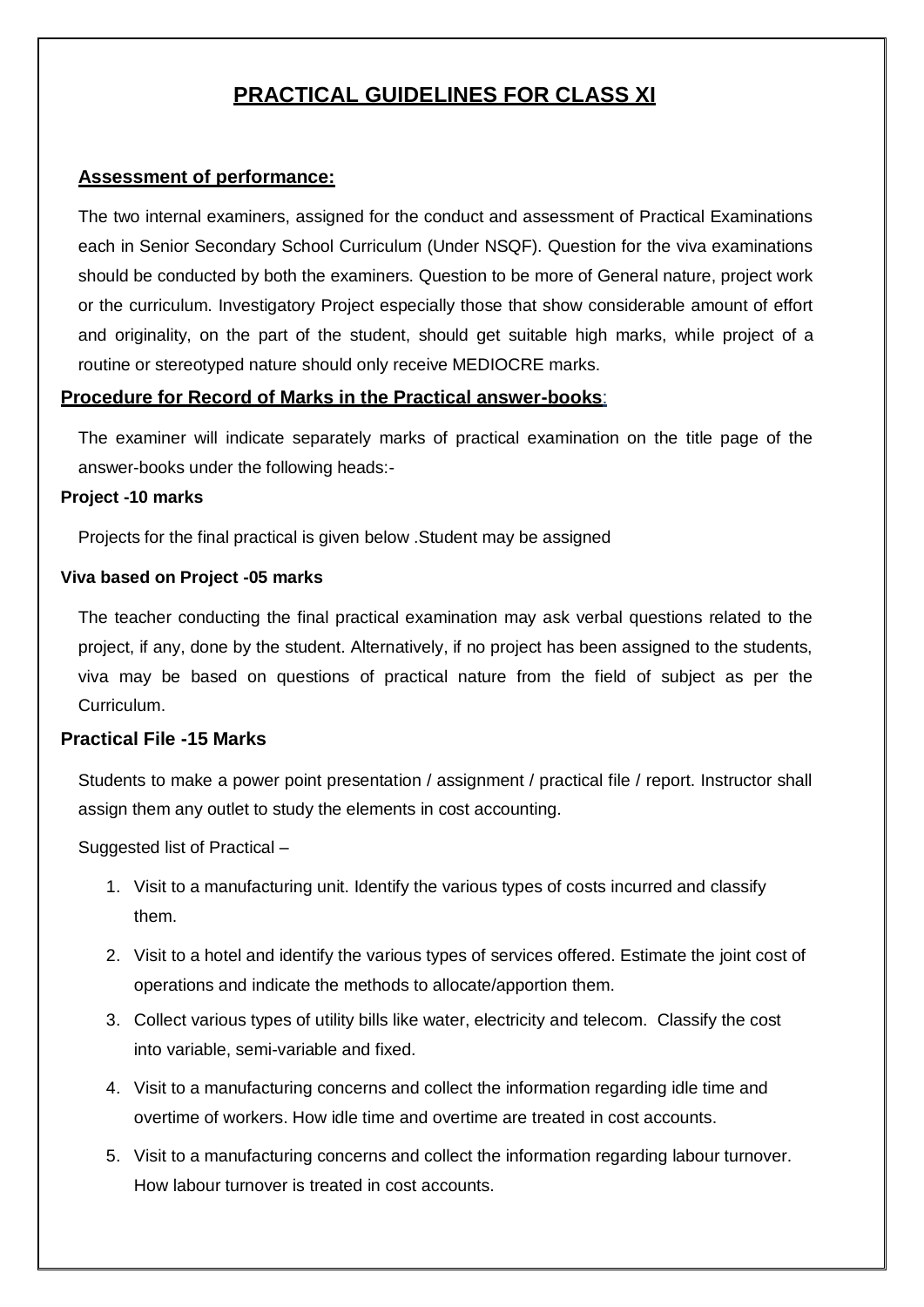## **PRACTICAL GUIDELINES FOR CLASS XI**

#### **Assessment of performance:**

The two internal examiners, assigned for the conduct and assessment of Practical Examinations each in Senior Secondary School Curriculum (Under NSQF). Question for the viva examinations should be conducted by both the examiners. Question to be more of General nature, project work or the curriculum. Investigatory Project especially those that show considerable amount of effort and originality, on the part of the student, should get suitable high marks, while project of a routine or stereotyped nature should only receive MEDIOCRE marks.

#### **Procedure for Record of Marks in the Practical answer-books**:

The examiner will indicate separately marks of practical examination on the title page of the answer-books under the following heads:-

#### **Project -10 marks**

Projects for the final practical is given below .Student may be assigned

#### **Viva based on Project -05 marks**

The teacher conducting the final practical examination may ask verbal questions related to the project, if any, done by the student. Alternatively, if no project has been assigned to the students, viva may be based on questions of practical nature from the field of subject as per the Curriculum.

#### **Practical File -15 Marks**

Students to make a power point presentation / assignment / practical file / report. Instructor shall assign them any outlet to study the elements in cost accounting.

Suggested list of Practical –

- 1. Visit to a manufacturing unit. Identify the various types of costs incurred and classify them.
- 2. Visit to a hotel and identify the various types of services offered. Estimate the joint cost of operations and indicate the methods to allocate/apportion them.
- 3. Collect various types of utility bills like water, electricity and telecom. Classify the cost into variable, semi-variable and fixed.
- 4. Visit to a manufacturing concerns and collect the information regarding idle time and overtime of workers. How idle time and overtime are treated in cost accounts.
- 5. Visit to a manufacturing concerns and collect the information regarding labour turnover. How labour turnover is treated in cost accounts.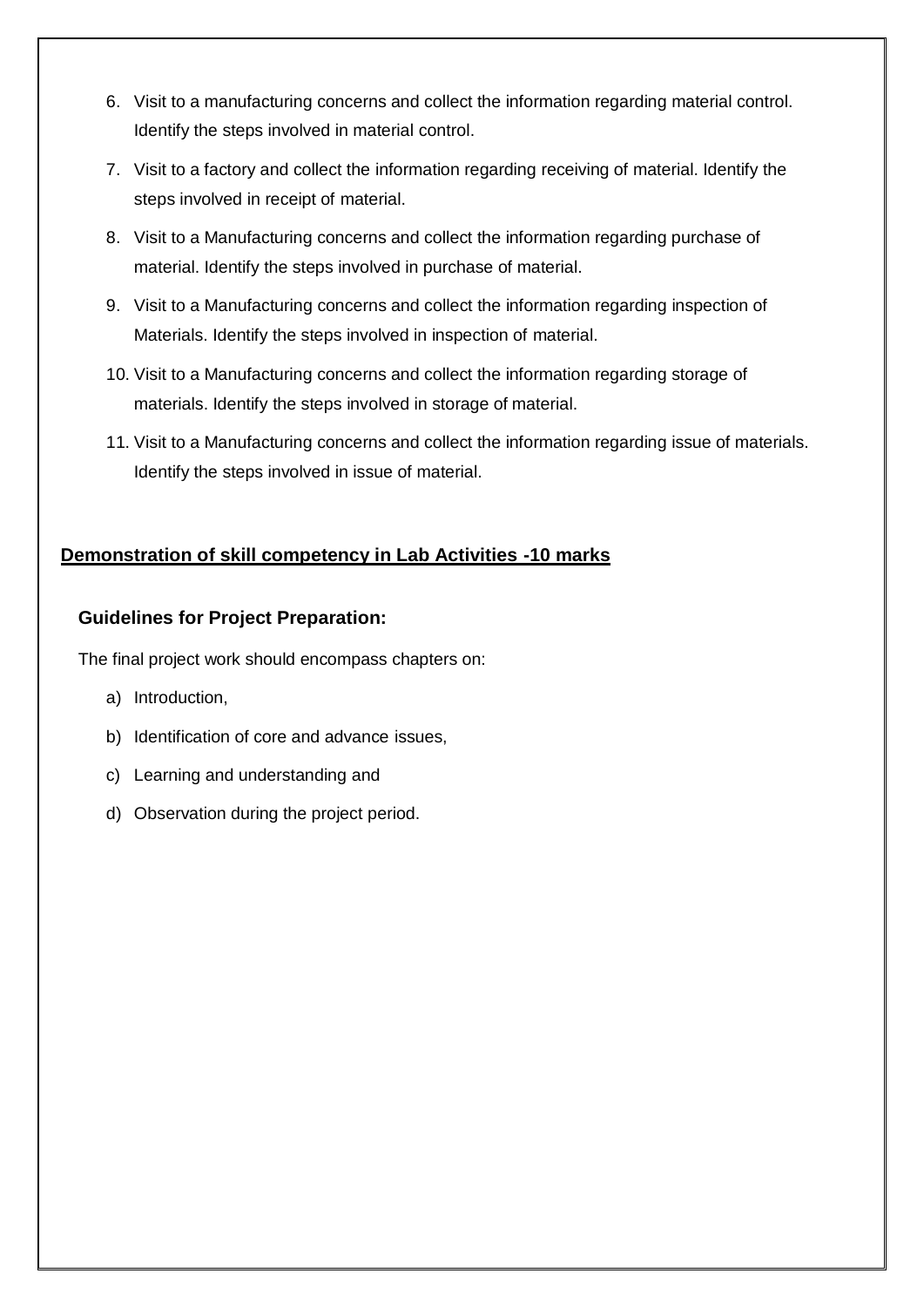- 6. Visit to a manufacturing concerns and collect the information regarding material control. Identify the steps involved in material control.
- 7. Visit to a factory and collect the information regarding receiving of material. Identify the steps involved in receipt of material.
- 8. Visit to a Manufacturing concerns and collect the information regarding purchase of material. Identify the steps involved in purchase of material.
- 9. Visit to a Manufacturing concerns and collect the information regarding inspection of Materials. Identify the steps involved in inspection of material.
- 10. Visit to a Manufacturing concerns and collect the information regarding storage of materials. Identify the steps involved in storage of material.
- 11. Visit to a Manufacturing concerns and collect the information regarding issue of materials. Identify the steps involved in issue of material.

## **Demonstration of skill competency in Lab Activities -10 marks**

### **Guidelines for Project Preparation:**

The final project work should encompass chapters on:

- a) Introduction,
- b) Identification of core and advance issues,
- c) Learning and understanding and
- d) Observation during the project period.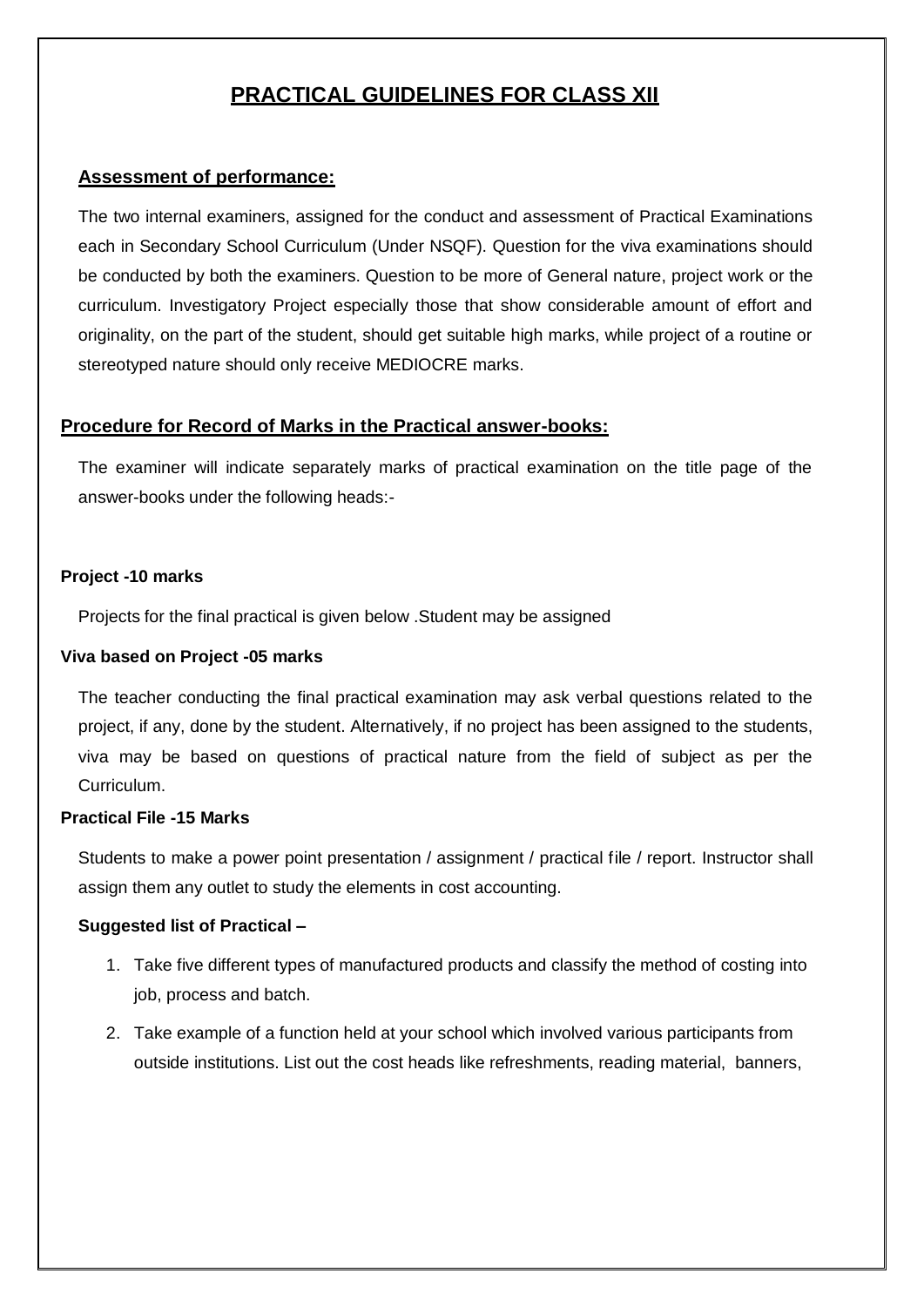## **PRACTICAL GUIDELINES FOR CLASS XII**

#### **Assessment of performance:**

The two internal examiners, assigned for the conduct and assessment of Practical Examinations each in Secondary School Curriculum (Under NSQF). Question for the viva examinations should be conducted by both the examiners. Question to be more of General nature, project work or the curriculum. Investigatory Project especially those that show considerable amount of effort and originality, on the part of the student, should get suitable high marks, while project of a routine or stereotyped nature should only receive MEDIOCRE marks.

#### **Procedure for Record of Marks in the Practical answer-books:**

The examiner will indicate separately marks of practical examination on the title page of the answer-books under the following heads:-

#### **Project -10 marks**

Projects for the final practical is given below .Student may be assigned

#### **Viva based on Project -05 marks**

The teacher conducting the final practical examination may ask verbal questions related to the project, if any, done by the student. Alternatively, if no project has been assigned to the students, viva may be based on questions of practical nature from the field of subject as per the Curriculum.

#### **Practical File -15 Marks**

Students to make a power point presentation / assignment / practical file / report. Instructor shall assign them any outlet to study the elements in cost accounting.

#### **Suggested list of Practical –**

- 1. Take five different types of manufactured products and classify the method of costing into job, process and batch.
- 2. Take example of a function held at your school which involved various participants from outside institutions. List out the cost heads like refreshments, reading material, banners,